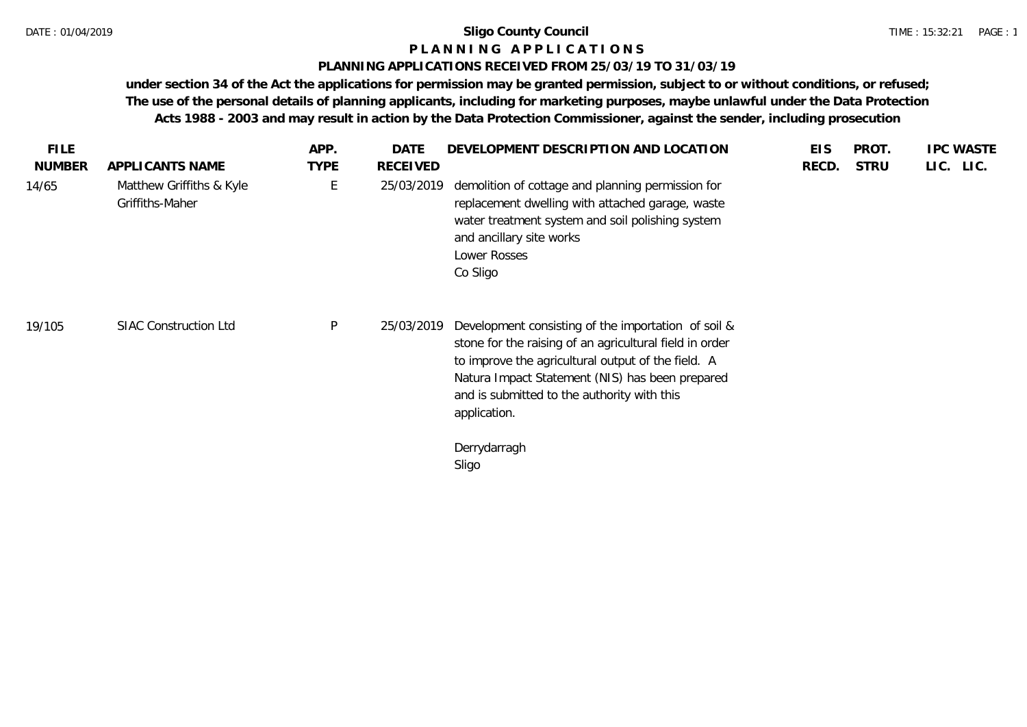# **P L A N N I N G A P P L I C A T I O N S**

## **PLANNING APPLICATIONS RECEIVED FROM 25/03/19 TO 31/03/19**

**under section 34 of the Act the applications for permission may be granted permission, subject to or without conditions, or refused; The use of the personal details of planning applicants, including for marketing purposes, maybe unlawful under the Data Protection Acts 1988 - 2003 and may result in action by the Data Protection Commissioner, against the sender, including prosecution**

| <b>NUMBER</b><br><b>TYPE</b><br><b>RECEIVED</b><br><b>STRU</b><br>APPLICANTS NAME<br>RECD.<br>Ε<br>Matthew Griffiths & Kyle<br>demolition of cottage and planning permission for<br>14/65<br>25/03/2019<br>Griffiths-Maher<br>replacement dwelling with attached garage, waste<br>water treatment system and soil polishing system<br>and ancillary site works<br>Lower Rosses<br>Co Sligo |  |  | APP. | DATE | DEVELOPMENT DESCRIPTION AND LOCATION | <b>EIS</b> | PROT. | <b>IPC WASTE</b> |  |
|--------------------------------------------------------------------------------------------------------------------------------------------------------------------------------------------------------------------------------------------------------------------------------------------------------------------------------------------------------------------------------------------|--|--|------|------|--------------------------------------|------------|-------|------------------|--|
|                                                                                                                                                                                                                                                                                                                                                                                            |  |  |      |      |                                      |            |       | LIC. LIC.        |  |
|                                                                                                                                                                                                                                                                                                                                                                                            |  |  |      |      |                                      |            |       |                  |  |
| P<br><b>SIAC Construction Ltd</b><br>25/03/2019<br>Development consisting of the importation of soil &<br>19/105<br>stone for the raising of an agricultural field in order<br>to improve the agricultural output of the field. A<br>Natura Impact Statement (NIS) has been prepared<br>and is submitted to the authority with this<br>application.                                        |  |  |      |      |                                      |            |       |                  |  |
| Derrydarragh<br>Sligo                                                                                                                                                                                                                                                                                                                                                                      |  |  |      |      |                                      |            |       |                  |  |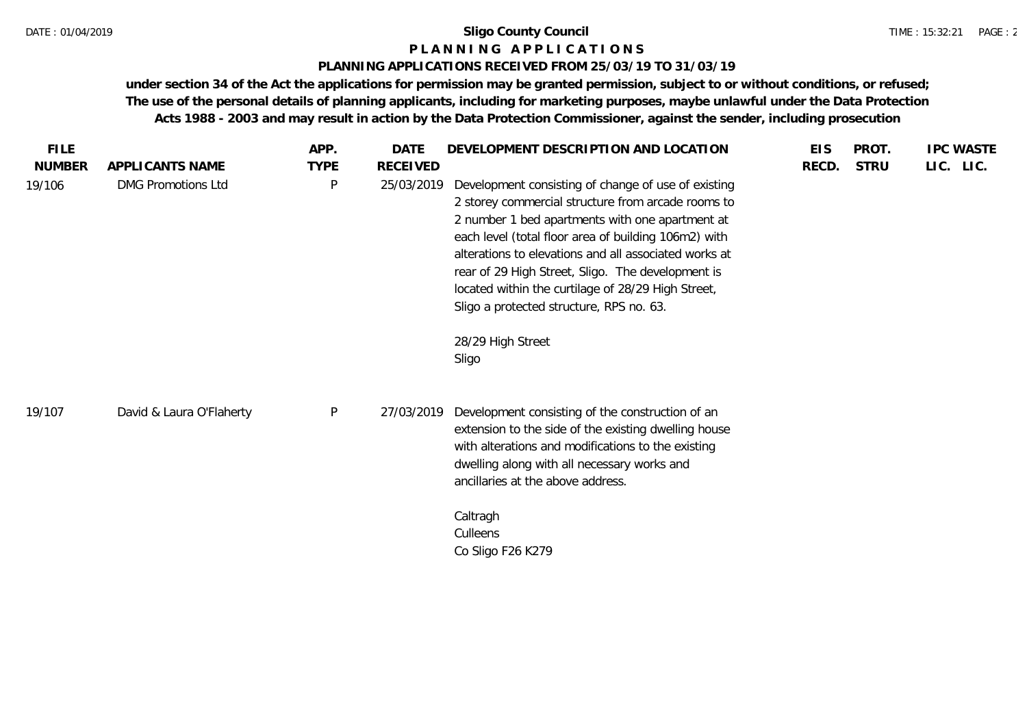### **P L A N N I N G A P P L I C A T I O N S**

### **PLANNING APPLICATIONS RECEIVED FROM 25/03/19 TO 31/03/19**

**under section 34 of the Act the applications for permission may be granted permission, subject to or without conditions, or refused; The use of the personal details of planning applicants, including for marketing purposes, maybe unlawful under the Data Protection Acts 1988 - 2003 and may result in action by the Data Protection Commissioner, against the sender, including prosecution**

| <b>FILE</b>   |                           | APP.        | <b>DATE</b>     | DEVELOPMENT DESCRIPTION AND LOCATION                                                                                                                                                                                                                                                                                                                                                                                                                               | <b>EIS</b> | PROT.       | <b>IPC WASTE</b> |
|---------------|---------------------------|-------------|-----------------|--------------------------------------------------------------------------------------------------------------------------------------------------------------------------------------------------------------------------------------------------------------------------------------------------------------------------------------------------------------------------------------------------------------------------------------------------------------------|------------|-------------|------------------|
| <b>NUMBER</b> | APPLICANTS NAME           | <b>TYPE</b> | <b>RECEIVED</b> |                                                                                                                                                                                                                                                                                                                                                                                                                                                                    | RECD.      | <b>STRU</b> | LIC. LIC.        |
| 19/106        | <b>DMG Promotions Ltd</b> | P           | 25/03/2019      | Development consisting of change of use of existing<br>2 storey commercial structure from arcade rooms to<br>2 number 1 bed apartments with one apartment at<br>each level (total floor area of building 106m2) with<br>alterations to elevations and all associated works at<br>rear of 29 High Street, Sligo. The development is<br>located within the curtilage of 28/29 High Street,<br>Sligo a protected structure, RPS no. 63.<br>28/29 High Street<br>Sligo |            |             |                  |
| 19/107        | David & Laura O'Flaherty  | P           | 27/03/2019      | Development consisting of the construction of an<br>extension to the side of the existing dwelling house<br>with alterations and modifications to the existing<br>dwelling along with all necessary works and<br>ancillaries at the above address.<br>Caltragh<br>Culleens<br>Co Sligo F26 K279                                                                                                                                                                    |            |             |                  |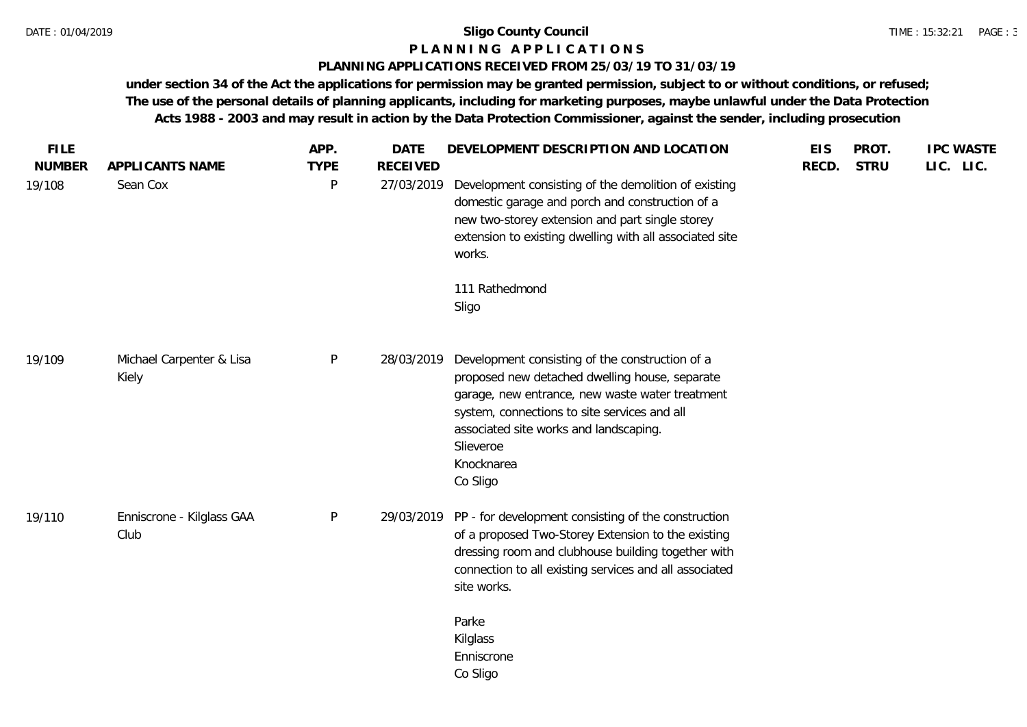## **P L A N N I N G A P P L I C A T I O N S**

## **PLANNING APPLICATIONS RECEIVED FROM 25/03/19 TO 31/03/19**

**under section 34 of the Act the applications for permission may be granted permission, subject to or without conditions, or refused; The use of the personal details of planning applicants, including for marketing purposes, maybe unlawful under the Data Protection Acts 1988 - 2003 and may result in action by the Data Protection Commissioner, against the sender, including prosecution**

| <b>FILE</b><br><b>NUMBER</b> | APPLICANTS NAME                   | APP.<br><b>TYPE</b> | <b>DATE</b><br><b>RECEIVED</b> | DEVELOPMENT DESCRIPTION AND LOCATION                                                                                                                                                                                                                                                  | <b>EIS</b><br>RECD. | PROT.<br><b>STRU</b> | <b>IPC WASTE</b><br>LIC. LIC. |
|------------------------------|-----------------------------------|---------------------|--------------------------------|---------------------------------------------------------------------------------------------------------------------------------------------------------------------------------------------------------------------------------------------------------------------------------------|---------------------|----------------------|-------------------------------|
| 19/108                       | Sean Cox                          | P                   | 27/03/2019                     | Development consisting of the demolition of existing<br>domestic garage and porch and construction of a<br>new two-storey extension and part single storey<br>extension to existing dwelling with all associated site<br>works.                                                       |                     |                      |                               |
|                              |                                   |                     |                                | 111 Rathedmond<br>Sligo                                                                                                                                                                                                                                                               |                     |                      |                               |
| 19/109                       | Michael Carpenter & Lisa<br>Kiely | P                   | 28/03/2019                     | Development consisting of the construction of a<br>proposed new detached dwelling house, separate<br>garage, new entrance, new waste water treatment<br>system, connections to site services and all<br>associated site works and landscaping.<br>Slieveroe<br>Knocknarea<br>Co Sligo |                     |                      |                               |
| 19/110                       | Enniscrone - Kilglass GAA<br>Club | $\mathsf{P}$        |                                | 29/03/2019 PP - for development consisting of the construction<br>of a proposed Two-Storey Extension to the existing<br>dressing room and clubhouse building together with<br>connection to all existing services and all associated<br>site works.                                   |                     |                      |                               |
|                              |                                   |                     |                                | Parke<br>Kilglass<br>Enniscrone<br>Co Sligo                                                                                                                                                                                                                                           |                     |                      |                               |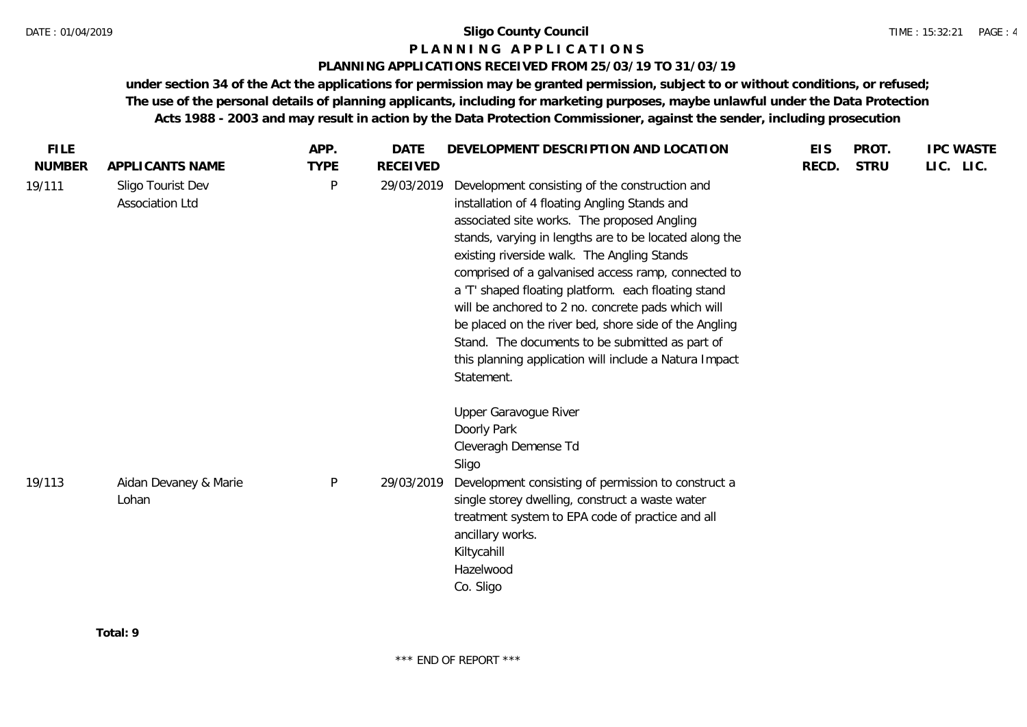## **P L A N N I N G A P P L I C A T I O N S**

## **PLANNING APPLICATIONS RECEIVED FROM 25/03/19 TO 31/03/19**

**under section 34 of the Act the applications for permission may be granted permission, subject to or without conditions, or refused; The use of the personal details of planning applicants, including for marketing purposes, maybe unlawful under the Data Protection Acts 1988 - 2003 and may result in action by the Data Protection Commissioner, against the sender, including prosecution**

| <b>FILE</b>   |                                      | APP.        | DATE            | DEVELOPMENT DESCRIPTION AND LOCATION                                                                                                                                                                                                                                                                                                                                                                                                                                                                                                                                                                            | <b>EIS</b> | PROT.       | <b>IPC WASTE</b> |
|---------------|--------------------------------------|-------------|-----------------|-----------------------------------------------------------------------------------------------------------------------------------------------------------------------------------------------------------------------------------------------------------------------------------------------------------------------------------------------------------------------------------------------------------------------------------------------------------------------------------------------------------------------------------------------------------------------------------------------------------------|------------|-------------|------------------|
| <b>NUMBER</b> | APPLICANTS NAME                      | <b>TYPE</b> | <b>RECEIVED</b> |                                                                                                                                                                                                                                                                                                                                                                                                                                                                                                                                                                                                                 | RECD.      | <b>STRU</b> | LIC. LIC.        |
| 19/111        | Sligo Tourist Dev<br>Association Ltd | P           | 29/03/2019      | Development consisting of the construction and<br>installation of 4 floating Angling Stands and<br>associated site works. The proposed Angling<br>stands, varying in lengths are to be located along the<br>existing riverside walk. The Angling Stands<br>comprised of a galvanised access ramp, connected to<br>a 'T' shaped floating platform. each floating stand<br>will be anchored to 2 no. concrete pads which will<br>be placed on the river bed, shore side of the Angling<br>Stand. The documents to be submitted as part of<br>this planning application will include a Natura Impact<br>Statement. |            |             |                  |
| 19/113        | Aidan Devaney & Marie<br>Lohan       | $\sf P$     | 29/03/2019      | Upper Garavogue River<br>Doorly Park<br>Cleveragh Demense Td<br>Sligo<br>Development consisting of permission to construct a<br>single storey dwelling, construct a waste water<br>treatment system to EPA code of practice and all<br>ancillary works.<br>Kiltycahill<br>Hazelwood<br>Co. Sligo                                                                                                                                                                                                                                                                                                                |            |             |                  |

**Total: 9**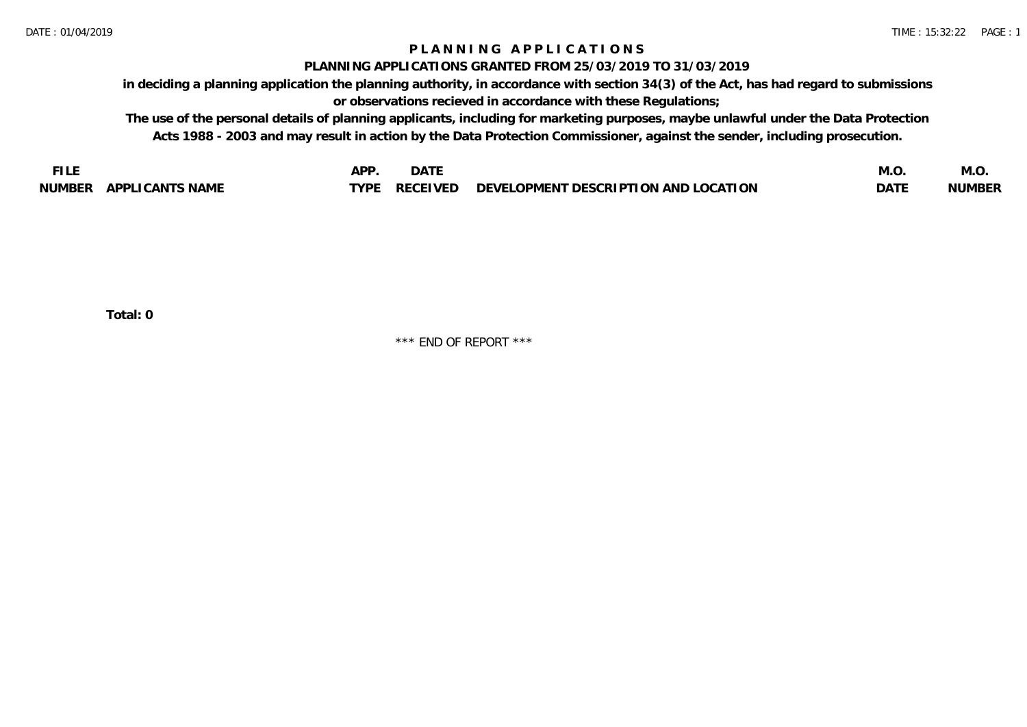## **P L A N N I N G A P P L I C A T I O N S**

### **PLANNING APPLICATIONS GRANTED FROM 25/03/2019 TO 31/03/2019**

**in deciding a planning application the planning authority, in accordance with section 34(3) of the Act, has had regard to submissions or observations recieved in accordance with these Regulations;**

**The use of the personal details of planning applicants, including for marketing purposes, maybe unlawful under the Data Protection Acts 1988 - 2003 and may result in action by the Data Protection Commissioner, against the sender, including prosecution.**

| F L           |                       | DD.  | <b>DATE</b>     |                                                                | ب ۱۷۱۰      | IVI.U         |
|---------------|-----------------------|------|-----------------|----------------------------------------------------------------|-------------|---------------|
| <b>NUMBER</b> | APP'<br>LI CANTS NAME | TVDF | <b>RECEIVED</b> | <b>OCATION</b><br>THOPMENT DESCRIPTION AND LUC<br>$\neg$ FVFL. | <b>DATI</b> | <b>NUMBER</b> |

**Total: 0**

\*\*\* END OF REPORT \*\*\*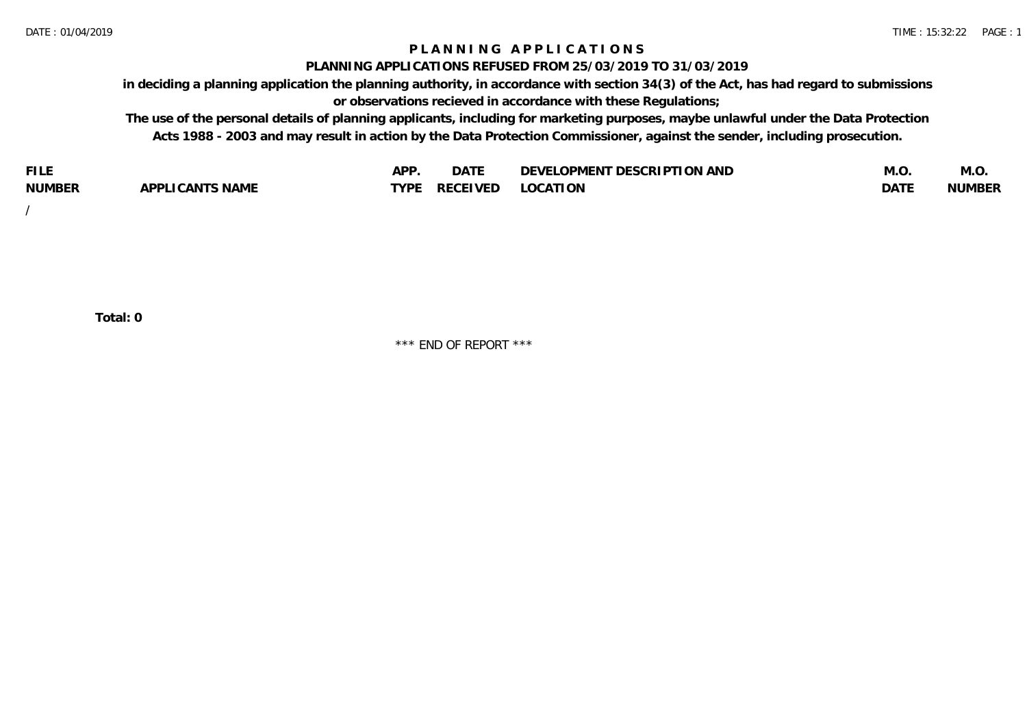## **P L A N N I N G A P P L I C A T I O N S**

#### **PLANNING APPLICATIONS REFUSED FROM 25/03/2019 TO 31/03/2019**

**in deciding a planning application the planning authority, in accordance with section 34(3) of the Act, has had regard to submissions or observations recieved in accordance with these Regulations;**

**The use of the personal details of planning applicants, including for marketing purposes, maybe unlawful under the Data Protection Acts 1988 - 2003 and may result in action by the Data Protection Commissioner, against the sender, including prosecution.**

| <b>FILE</b>   |                    | AP'         | $\sim$ $\sim$ $\sim$ $\sim$<br>DAIE | <b>LOPMENT DESCRIPTION AND</b><br><b>DEVF</b><br><b>LVI</b> | IVI.U       | IVI.U         |
|---------------|--------------------|-------------|-------------------------------------|-------------------------------------------------------------|-------------|---------------|
| <b>NUMBER</b> | CANTS NAME<br>ADD' | <b>TYPI</b> | <b>RECEIVED</b>                     | LOCATION                                                    | <b>DATE</b> | <b>NUMBER</b> |

/

**Total: 0**

\*\*\* END OF REPORT \*\*\*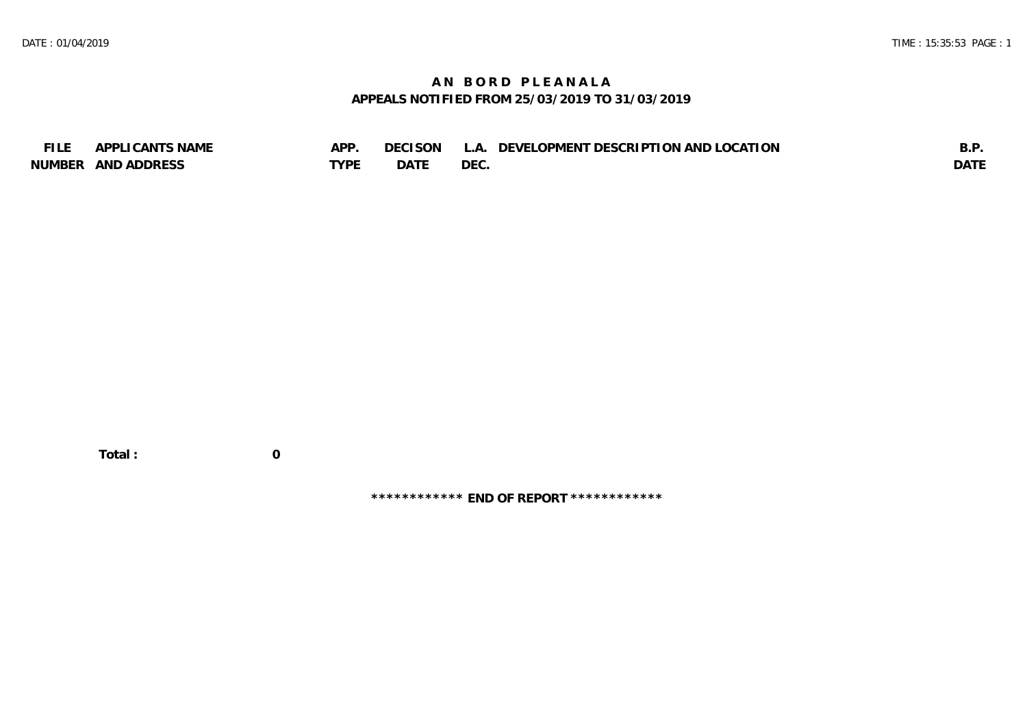## **A N B O R D P L E A N A L A APPEALS NOTIFIED FROM 25/03/2019 TO 31/03/2019**

| <b>FILE</b>   | I CANTS NAME<br>$\triangle$ DDI | APP  | <b>CISON</b><br>DF ( | $\Delta$   | ELOPMENT DESCRIPTION AND LOCATION<br>DEVEL ( | R D<br>. ا ب |
|---------------|---------------------------------|------|----------------------|------------|----------------------------------------------|--------------|
| <b>NUMBER</b> | AND ADDRESS                     | TVDF | <b>DATE</b>          | <b>DEC</b> |                                              | <b>DATI</b>  |

**\*\*\*\*\*\*\*\*\*\*\*\* END OF REPORT \*\*\*\*\*\*\*\*\*\*\*\***